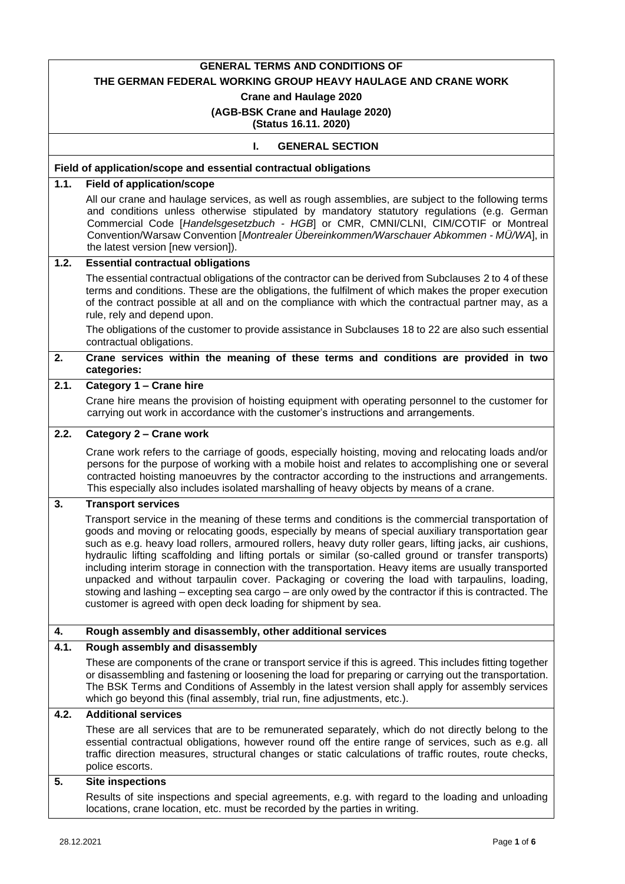# **GENERAL TERMS AND CONDITIONS OF**

#### **THE GERMAN FEDERAL WORKING GROUP HEAVY HAULAGE AND CRANE WORK**

**Crane and Haulage 2020**

# **(AGB-BSK Crane and Haulage 2020)**

**(Status 16.11. 2020)**

# **I. GENERAL SECTION**

## **Field of application/scope and essential contractual obligations**

# **1.1. Field of application/scope**

All our crane and haulage services, as well as rough assemblies, are subject to the following terms and conditions unless otherwise stipulated by mandatory statutory regulations (e.g. German Commercial Code [*Handelsgesetzbuch - HGB*] or CMR, CMNI/CLNI, CIM/COTIF or Montreal Convention/Warsaw Convention [*Montrealer Übereinkommen/Warschauer Abkommen - MÜ/WA*], in the latest version [new version]).

#### **1.2. Essential contractual obligations**

The essential contractual obligations of the contractor can be derived from Subclauses 2 to 4 of these terms and conditions. These are the obligations, the fulfilment of which makes the proper execution of the contract possible at all and on the compliance with which the contractual partner may, as a rule, rely and depend upon.

The obligations of the customer to provide assistance in Subclauses 18 to 22 are also such essential contractual obligations.

## **2. Crane services within the meaning of these terms and conditions are provided in two categories:**

## **2.1. Category 1 – Crane hire**

Crane hire means the provision of hoisting equipment with operating personnel to the customer for carrying out work in accordance with the customer's instructions and arrangements.

# **2.2. Category 2 – Crane work**

Crane work refers to the carriage of goods, especially hoisting, moving and relocating loads and/or persons for the purpose of working with a mobile hoist and relates to accomplishing one or several contracted hoisting manoeuvres by the contractor according to the instructions and arrangements. This especially also includes isolated marshalling of heavy objects by means of a crane.

#### **3. Transport services**

Transport service in the meaning of these terms and conditions is the commercial transportation of goods and moving or relocating goods, especially by means of special auxiliary transportation gear such as e.g. heavy load rollers, armoured rollers, heavy duty roller gears, lifting jacks, air cushions, hydraulic lifting scaffolding and lifting portals or similar (so-called ground or transfer transports) including interim storage in connection with the transportation. Heavy items are usually transported unpacked and without tarpaulin cover. Packaging or covering the load with tarpaulins, loading, stowing and lashing – excepting sea cargo – are only owed by the contractor if this is contracted. The customer is agreed with open deck loading for shipment by sea.

# **4. Rough assembly and disassembly, other additional services**

# **4.1. Rough assembly and disassembly**

These are components of the crane or transport service if this is agreed. This includes fitting together or disassembling and fastening or loosening the load for preparing or carrying out the transportation. The BSK Terms and Conditions of Assembly in the latest version shall apply for assembly services which go beyond this (final assembly, trial run, fine adjustments, etc.).

# **4.2. Additional services**

These are all services that are to be remunerated separately, which do not directly belong to the essential contractual obligations, however round off the entire range of services, such as e.g. all traffic direction measures, structural changes or static calculations of traffic routes, route checks, police escorts.

#### **5. Site inspections**

Results of site inspections and special agreements, e.g. with regard to the loading and unloading locations, crane location, etc. must be recorded by the parties in writing.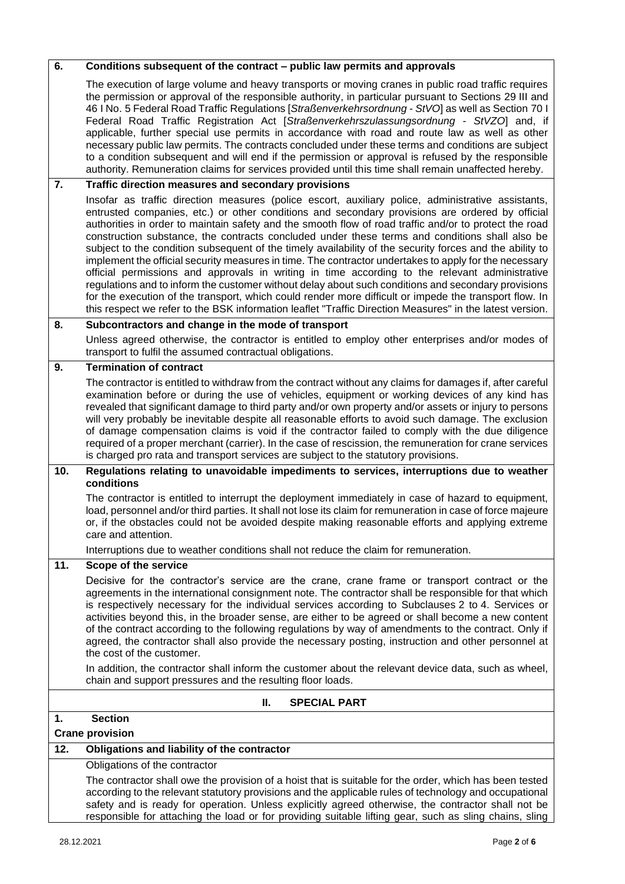| 6.  | Conditions subsequent of the contract - public law permits and approvals                                                                                                                                                                                                                                                                                                                                                                                                                                                                                                                                                                                                                                                                                                                                                                                                                                                                                                                                                                                               |
|-----|------------------------------------------------------------------------------------------------------------------------------------------------------------------------------------------------------------------------------------------------------------------------------------------------------------------------------------------------------------------------------------------------------------------------------------------------------------------------------------------------------------------------------------------------------------------------------------------------------------------------------------------------------------------------------------------------------------------------------------------------------------------------------------------------------------------------------------------------------------------------------------------------------------------------------------------------------------------------------------------------------------------------------------------------------------------------|
|     | The execution of large volume and heavy transports or moving cranes in public road traffic requires<br>the permission or approval of the responsible authority, in particular pursuant to Sections 29 III and<br>46 I No. 5 Federal Road Traffic Regulations [Straßenverkehrsordnung - StVO] as well as Section 70 I<br>Federal Road Traffic Registration Act [Straßenverkehrszulassungsordnung - StVZO] and, if<br>applicable, further special use permits in accordance with road and route law as well as other<br>necessary public law permits. The contracts concluded under these terms and conditions are subject<br>to a condition subsequent and will end if the permission or approval is refused by the responsible<br>authority. Remuneration claims for services provided until this time shall remain unaffected hereby.                                                                                                                                                                                                                                 |
| 7.  | Traffic direction measures and secondary provisions                                                                                                                                                                                                                                                                                                                                                                                                                                                                                                                                                                                                                                                                                                                                                                                                                                                                                                                                                                                                                    |
|     | Insofar as traffic direction measures (police escort, auxiliary police, administrative assistants,<br>entrusted companies, etc.) or other conditions and secondary provisions are ordered by official<br>authorities in order to maintain safety and the smooth flow of road traffic and/or to protect the road<br>construction substance, the contracts concluded under these terms and conditions shall also be<br>subject to the condition subsequent of the timely availability of the security forces and the ability to<br>implement the official security measures in time. The contractor undertakes to apply for the necessary<br>official permissions and approvals in writing in time according to the relevant administrative<br>regulations and to inform the customer without delay about such conditions and secondary provisions<br>for the execution of the transport, which could render more difficult or impede the transport flow. In<br>this respect we refer to the BSK information leaflet "Traffic Direction Measures" in the latest version. |
| 8.  | Subcontractors and change in the mode of transport                                                                                                                                                                                                                                                                                                                                                                                                                                                                                                                                                                                                                                                                                                                                                                                                                                                                                                                                                                                                                     |
|     | Unless agreed otherwise, the contractor is entitled to employ other enterprises and/or modes of<br>transport to fulfil the assumed contractual obligations.                                                                                                                                                                                                                                                                                                                                                                                                                                                                                                                                                                                                                                                                                                                                                                                                                                                                                                            |
| 9.  | <b>Termination of contract</b>                                                                                                                                                                                                                                                                                                                                                                                                                                                                                                                                                                                                                                                                                                                                                                                                                                                                                                                                                                                                                                         |
|     | The contractor is entitled to withdraw from the contract without any claims for damages if, after careful<br>examination before or during the use of vehicles, equipment or working devices of any kind has<br>revealed that significant damage to third party and/or own property and/or assets or injury to persons<br>will very probably be inevitable despite all reasonable efforts to avoid such damage. The exclusion<br>of damage compensation claims is void if the contractor failed to comply with the due diligence<br>required of a proper merchant (carrier). In the case of rescission, the remuneration for crane services<br>is charged pro rata and transport services are subject to the statutory provisions.                                                                                                                                                                                                                                                                                                                                      |
| 10. | Regulations relating to unavoidable impediments to services, interruptions due to weather<br>conditions                                                                                                                                                                                                                                                                                                                                                                                                                                                                                                                                                                                                                                                                                                                                                                                                                                                                                                                                                                |
|     | The contractor is entitled to interrupt the deployment immediately in case of hazard to equipment,<br>load, personnel and/or third parties. It shall not lose its claim for remuneration in case of force majeure<br>or, if the obstacles could not be avoided despite making reasonable efforts and applying extreme<br>care and attention.                                                                                                                                                                                                                                                                                                                                                                                                                                                                                                                                                                                                                                                                                                                           |
|     | Interruptions due to weather conditions shall not reduce the claim for remuneration.                                                                                                                                                                                                                                                                                                                                                                                                                                                                                                                                                                                                                                                                                                                                                                                                                                                                                                                                                                                   |
| 11. | Scope of the service                                                                                                                                                                                                                                                                                                                                                                                                                                                                                                                                                                                                                                                                                                                                                                                                                                                                                                                                                                                                                                                   |
|     | Decisive for the contractor's service are the crane, crane frame or transport contract or the<br>agreements in the international consignment note. The contractor shall be responsible for that which<br>is respectively necessary for the individual services according to Subclauses 2 to 4. Services or<br>activities beyond this, in the broader sense, are either to be agreed or shall become a new content<br>of the contract according to the following regulations by way of amendments to the contract. Only if<br>agreed, the contractor shall also provide the necessary posting, instruction and other personnel at<br>the cost of the customer.                                                                                                                                                                                                                                                                                                                                                                                                          |
|     | In addition, the contractor shall inform the customer about the relevant device data, such as wheel,<br>chain and support pressures and the resulting floor loads.                                                                                                                                                                                                                                                                                                                                                                                                                                                                                                                                                                                                                                                                                                                                                                                                                                                                                                     |
|     | Ш.<br><b>SPECIAL PART</b>                                                                                                                                                                                                                                                                                                                                                                                                                                                                                                                                                                                                                                                                                                                                                                                                                                                                                                                                                                                                                                              |
| 1.  | <b>Section</b>                                                                                                                                                                                                                                                                                                                                                                                                                                                                                                                                                                                                                                                                                                                                                                                                                                                                                                                                                                                                                                                         |
|     | <b>Crane provision</b>                                                                                                                                                                                                                                                                                                                                                                                                                                                                                                                                                                                                                                                                                                                                                                                                                                                                                                                                                                                                                                                 |
| 12. | Obligations and liability of the contractor                                                                                                                                                                                                                                                                                                                                                                                                                                                                                                                                                                                                                                                                                                                                                                                                                                                                                                                                                                                                                            |
|     | Obligations of the contractor                                                                                                                                                                                                                                                                                                                                                                                                                                                                                                                                                                                                                                                                                                                                                                                                                                                                                                                                                                                                                                          |
|     | The contractor shall owe the provision of a hoist that is suitable for the order, which has been tested<br>according to the relevant statutory provisions and the applicable rules of technology and occupational<br>safety and is ready for operation. Unless explicitly agreed otherwise, the contractor shall not be<br>responsible for attaching the load or for providing suitable lifting gear, such as sling chains, sling                                                                                                                                                                                                                                                                                                                                                                                                                                                                                                                                                                                                                                      |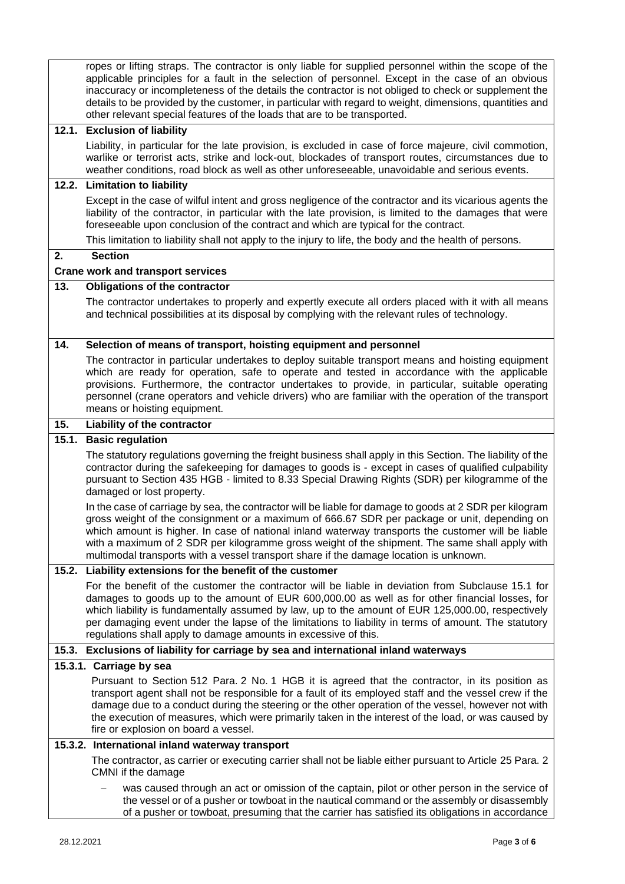|       | ropes or lifting straps. The contractor is only liable for supplied personnel within the scope of the<br>applicable principles for a fault in the selection of personnel. Except in the case of an obvious<br>inaccuracy or incompleteness of the details the contractor is not obliged to check or supplement the<br>details to be provided by the customer, in particular with regard to weight, dimensions, quantities and<br>other relevant special features of the loads that are to be transported. |
|-------|-----------------------------------------------------------------------------------------------------------------------------------------------------------------------------------------------------------------------------------------------------------------------------------------------------------------------------------------------------------------------------------------------------------------------------------------------------------------------------------------------------------|
|       | 12.1. Exclusion of liability                                                                                                                                                                                                                                                                                                                                                                                                                                                                              |
|       | Liability, in particular for the late provision, is excluded in case of force majeure, civil commotion,<br>warlike or terrorist acts, strike and lock-out, blockades of transport routes, circumstances due to<br>weather conditions, road block as well as other unforeseeable, unavoidable and serious events.                                                                                                                                                                                          |
|       | 12.2. Limitation to liability                                                                                                                                                                                                                                                                                                                                                                                                                                                                             |
|       | Except in the case of wilful intent and gross negligence of the contractor and its vicarious agents the<br>liability of the contractor, in particular with the late provision, is limited to the damages that were<br>foreseeable upon conclusion of the contract and which are typical for the contract.                                                                                                                                                                                                 |
|       | This limitation to liability shall not apply to the injury to life, the body and the health of persons.                                                                                                                                                                                                                                                                                                                                                                                                   |
| 2.    | <b>Section</b>                                                                                                                                                                                                                                                                                                                                                                                                                                                                                            |
|       | <b>Crane work and transport services</b>                                                                                                                                                                                                                                                                                                                                                                                                                                                                  |
| 13.   | <b>Obligations of the contractor</b>                                                                                                                                                                                                                                                                                                                                                                                                                                                                      |
|       | The contractor undertakes to properly and expertly execute all orders placed with it with all means<br>and technical possibilities at its disposal by complying with the relevant rules of technology.                                                                                                                                                                                                                                                                                                    |
| 14.   | Selection of means of transport, hoisting equipment and personnel                                                                                                                                                                                                                                                                                                                                                                                                                                         |
|       | The contractor in particular undertakes to deploy suitable transport means and hoisting equipment<br>which are ready for operation, safe to operate and tested in accordance with the applicable<br>provisions. Furthermore, the contractor undertakes to provide, in particular, suitable operating<br>personnel (crane operators and vehicle drivers) who are familiar with the operation of the transport                                                                                              |
|       | means or hoisting equipment.                                                                                                                                                                                                                                                                                                                                                                                                                                                                              |
| 15.   | Liability of the contractor                                                                                                                                                                                                                                                                                                                                                                                                                                                                               |
| 15.1. | <b>Basic regulation</b>                                                                                                                                                                                                                                                                                                                                                                                                                                                                                   |
|       | The statutory regulations governing the freight business shall apply in this Section. The liability of the<br>contractor during the safekeeping for damages to goods is - except in cases of qualified culpability<br>pursuant to Section 435 HGB - limited to 8.33 Special Drawing Rights (SDR) per kilogramme of the<br>damaged or lost property.                                                                                                                                                       |
|       | In the case of carriage by sea, the contractor will be liable for damage to goods at 2 SDR per kilogram<br>gross weight of the consignment or a maximum of 666.67 SDR per package or unit, depending on<br>which amount is higher. In case of national inland waterway transports the customer will be liable<br>with a maximum of 2 SDR per kilogramme gross weight of the shipment. The same shall apply with<br>multimodal transports with a vessel transport share if the damage location is unknown. |
| 15.2. | Liability extensions for the benefit of the customer                                                                                                                                                                                                                                                                                                                                                                                                                                                      |
|       | For the benefit of the customer the contractor will be liable in deviation from Subclause 15.1 for<br>damages to goods up to the amount of EUR 600,000.00 as well as for other financial losses, for<br>which liability is fundamentally assumed by law, up to the amount of EUR 125,000.00, respectively<br>per damaging event under the lapse of the limitations to liability in terms of amount. The statutory<br>regulations shall apply to damage amounts in excessive of this.                      |
|       | 15.3. Exclusions of liability for carriage by sea and international inland waterways                                                                                                                                                                                                                                                                                                                                                                                                                      |
|       | 15.3.1. Carriage by sea                                                                                                                                                                                                                                                                                                                                                                                                                                                                                   |
|       | Pursuant to Section 512 Para. 2 No. 1 HGB it is agreed that the contractor, in its position as<br>transport agent shall not be responsible for a fault of its employed staff and the vessel crew if the<br>damage due to a conduct during the steering or the other operation of the vessel, however not with<br>the execution of measures, which were primarily taken in the interest of the load, or was caused by<br>fire or explosion on board a vessel.                                              |
|       | 15.3.2. International inland waterway transport                                                                                                                                                                                                                                                                                                                                                                                                                                                           |
|       | The contractor, as carrier or executing carrier shall not be liable either pursuant to Article 25 Para. 2<br>CMNI if the damage                                                                                                                                                                                                                                                                                                                                                                           |
|       | was caused through an act or omission of the captain, pilot or other person in the service of<br>the vessel or of a pusher or towboat in the nautical command or the assembly or disassembly<br>of a pusher or towboat, presuming that the carrier has satisfied its obligations in accordance                                                                                                                                                                                                            |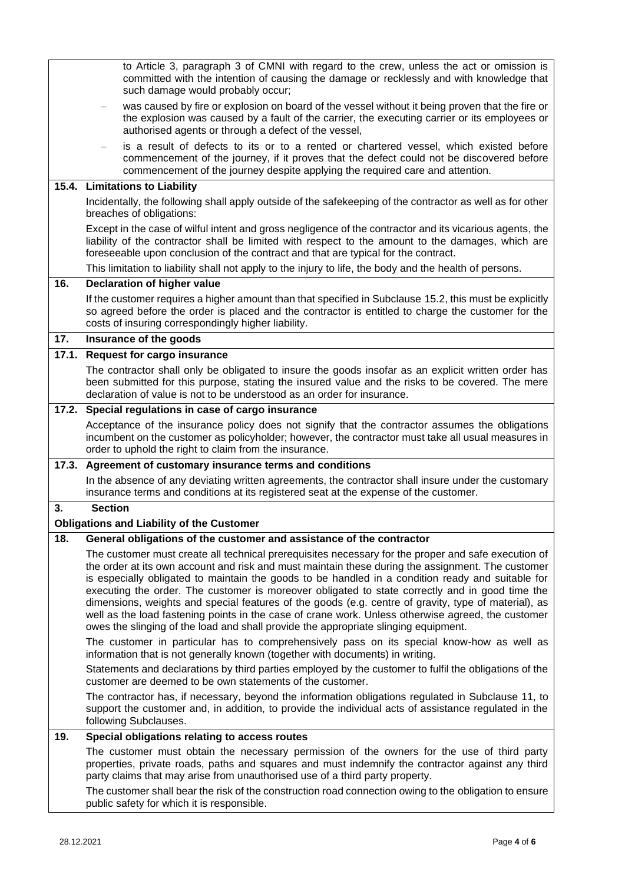|       | to Article 3, paragraph 3 of CMNI with regard to the crew, unless the act or omission is<br>committed with the intention of causing the damage or recklessly and with knowledge that<br>such damage would probably occur;                                                                                                                                                                                                                                                                                                                                                                                                                                                                                             |
|-------|-----------------------------------------------------------------------------------------------------------------------------------------------------------------------------------------------------------------------------------------------------------------------------------------------------------------------------------------------------------------------------------------------------------------------------------------------------------------------------------------------------------------------------------------------------------------------------------------------------------------------------------------------------------------------------------------------------------------------|
|       | was caused by fire or explosion on board of the vessel without it being proven that the fire or<br>the explosion was caused by a fault of the carrier, the executing carrier or its employees or<br>authorised agents or through a defect of the vessel,                                                                                                                                                                                                                                                                                                                                                                                                                                                              |
|       | is a result of defects to its or to a rented or chartered vessel, which existed before<br>commencement of the journey, if it proves that the defect could not be discovered before<br>commencement of the journey despite applying the required care and attention.                                                                                                                                                                                                                                                                                                                                                                                                                                                   |
|       | 15.4. Limitations to Liability                                                                                                                                                                                                                                                                                                                                                                                                                                                                                                                                                                                                                                                                                        |
|       | Incidentally, the following shall apply outside of the safekeeping of the contractor as well as for other<br>breaches of obligations:                                                                                                                                                                                                                                                                                                                                                                                                                                                                                                                                                                                 |
|       | Except in the case of wilful intent and gross negligence of the contractor and its vicarious agents, the<br>liability of the contractor shall be limited with respect to the amount to the damages, which are<br>foreseeable upon conclusion of the contract and that are typical for the contract.                                                                                                                                                                                                                                                                                                                                                                                                                   |
|       | This limitation to liability shall not apply to the injury to life, the body and the health of persons.                                                                                                                                                                                                                                                                                                                                                                                                                                                                                                                                                                                                               |
| 16.   | <b>Declaration of higher value</b>                                                                                                                                                                                                                                                                                                                                                                                                                                                                                                                                                                                                                                                                                    |
|       | If the customer requires a higher amount than that specified in Subclause 15.2, this must be explicitly<br>so agreed before the order is placed and the contractor is entitled to charge the customer for the<br>costs of insuring correspondingly higher liability.                                                                                                                                                                                                                                                                                                                                                                                                                                                  |
| 17.   | Insurance of the goods                                                                                                                                                                                                                                                                                                                                                                                                                                                                                                                                                                                                                                                                                                |
|       | 17.1. Request for cargo insurance                                                                                                                                                                                                                                                                                                                                                                                                                                                                                                                                                                                                                                                                                     |
|       | The contractor shall only be obligated to insure the goods insofar as an explicit written order has<br>been submitted for this purpose, stating the insured value and the risks to be covered. The mere<br>declaration of value is not to be understood as an order for insurance.                                                                                                                                                                                                                                                                                                                                                                                                                                    |
|       | 17.2. Special regulations in case of cargo insurance                                                                                                                                                                                                                                                                                                                                                                                                                                                                                                                                                                                                                                                                  |
|       | Acceptance of the insurance policy does not signify that the contractor assumes the obligations<br>incumbent on the customer as policyholder; however, the contractor must take all usual measures in<br>order to uphold the right to claim from the insurance.                                                                                                                                                                                                                                                                                                                                                                                                                                                       |
| 17.3. | Agreement of customary insurance terms and conditions                                                                                                                                                                                                                                                                                                                                                                                                                                                                                                                                                                                                                                                                 |
|       | In the absence of any deviating written agreements, the contractor shall insure under the customary<br>insurance terms and conditions at its registered seat at the expense of the customer.                                                                                                                                                                                                                                                                                                                                                                                                                                                                                                                          |
| 3.    | <b>Section</b><br><b>Obligations and Liability of the Customer</b>                                                                                                                                                                                                                                                                                                                                                                                                                                                                                                                                                                                                                                                    |
| 18.   | General obligations of the customer and assistance of the contractor                                                                                                                                                                                                                                                                                                                                                                                                                                                                                                                                                                                                                                                  |
|       | The customer must create all technical prerequisites necessary for the proper and safe execution of<br>the order at its own account and risk and must maintain these during the assignment. The customer<br>is especially obligated to maintain the goods to be handled in a condition ready and suitable for<br>executing the order. The customer is moreover obligated to state correctly and in good time the<br>dimensions, weights and special features of the goods (e.g. centre of gravity, type of material), as<br>well as the load fastening points in the case of crane work. Unless otherwise agreed, the customer<br>owes the slinging of the load and shall provide the appropriate slinging equipment. |
|       | The customer in particular has to comprehensively pass on its special know-how as well as<br>information that is not generally known (together with documents) in writing.                                                                                                                                                                                                                                                                                                                                                                                                                                                                                                                                            |
|       | Statements and declarations by third parties employed by the customer to fulfil the obligations of the<br>customer are deemed to be own statements of the customer.                                                                                                                                                                                                                                                                                                                                                                                                                                                                                                                                                   |
|       | The contractor has, if necessary, beyond the information obligations regulated in Subclause 11, to<br>support the customer and, in addition, to provide the individual acts of assistance regulated in the<br>following Subclauses.                                                                                                                                                                                                                                                                                                                                                                                                                                                                                   |
| 19.   | Special obligations relating to access routes                                                                                                                                                                                                                                                                                                                                                                                                                                                                                                                                                                                                                                                                         |
|       | The customer must obtain the necessary permission of the owners for the use of third party<br>properties, private roads, paths and squares and must indemnify the contractor against any third<br>party claims that may arise from unauthorised use of a third party property.                                                                                                                                                                                                                                                                                                                                                                                                                                        |
|       | The customer shall bear the risk of the construction road connection owing to the obligation to ensure<br>public safety for which it is responsible.                                                                                                                                                                                                                                                                                                                                                                                                                                                                                                                                                                  |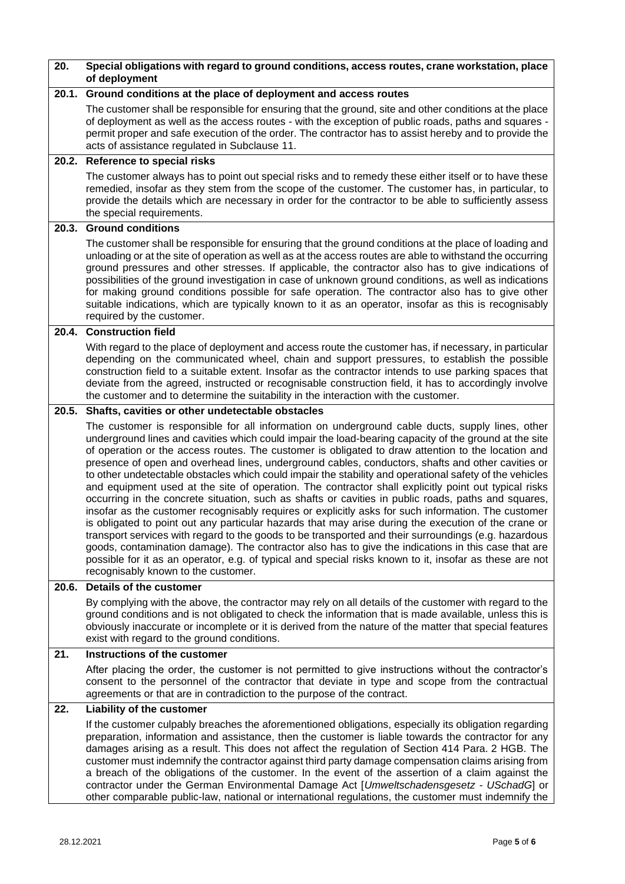| 20.   | Special obligations with regard to ground conditions, access routes, crane workstation, place<br>of deployment                                                                                                                                                                                                                                                                                                                                                                                                                                                                                                                                                                                                                                                                                                                                                                                                                                                                                                                                                                                                                                                                                                                                                                                                                |
|-------|-------------------------------------------------------------------------------------------------------------------------------------------------------------------------------------------------------------------------------------------------------------------------------------------------------------------------------------------------------------------------------------------------------------------------------------------------------------------------------------------------------------------------------------------------------------------------------------------------------------------------------------------------------------------------------------------------------------------------------------------------------------------------------------------------------------------------------------------------------------------------------------------------------------------------------------------------------------------------------------------------------------------------------------------------------------------------------------------------------------------------------------------------------------------------------------------------------------------------------------------------------------------------------------------------------------------------------|
| 20.1. | Ground conditions at the place of deployment and access routes                                                                                                                                                                                                                                                                                                                                                                                                                                                                                                                                                                                                                                                                                                                                                                                                                                                                                                                                                                                                                                                                                                                                                                                                                                                                |
|       | The customer shall be responsible for ensuring that the ground, site and other conditions at the place<br>of deployment as well as the access routes - with the exception of public roads, paths and squares -<br>permit proper and safe execution of the order. The contractor has to assist hereby and to provide the<br>acts of assistance regulated in Subclause 11.                                                                                                                                                                                                                                                                                                                                                                                                                                                                                                                                                                                                                                                                                                                                                                                                                                                                                                                                                      |
|       | 20.2. Reference to special risks                                                                                                                                                                                                                                                                                                                                                                                                                                                                                                                                                                                                                                                                                                                                                                                                                                                                                                                                                                                                                                                                                                                                                                                                                                                                                              |
|       | The customer always has to point out special risks and to remedy these either itself or to have these<br>remedied, insofar as they stem from the scope of the customer. The customer has, in particular, to<br>provide the details which are necessary in order for the contractor to be able to sufficiently assess<br>the special requirements.                                                                                                                                                                                                                                                                                                                                                                                                                                                                                                                                                                                                                                                                                                                                                                                                                                                                                                                                                                             |
| 20.3. | <b>Ground conditions</b>                                                                                                                                                                                                                                                                                                                                                                                                                                                                                                                                                                                                                                                                                                                                                                                                                                                                                                                                                                                                                                                                                                                                                                                                                                                                                                      |
|       | The customer shall be responsible for ensuring that the ground conditions at the place of loading and<br>unloading or at the site of operation as well as at the access routes are able to withstand the occurring<br>ground pressures and other stresses. If applicable, the contractor also has to give indications of<br>possibilities of the ground investigation in case of unknown ground conditions, as well as indications<br>for making ground conditions possible for safe operation. The contractor also has to give other<br>suitable indications, which are typically known to it as an operator, insofar as this is recognisably<br>required by the customer.                                                                                                                                                                                                                                                                                                                                                                                                                                                                                                                                                                                                                                                   |
| 20.4. | <b>Construction field</b>                                                                                                                                                                                                                                                                                                                                                                                                                                                                                                                                                                                                                                                                                                                                                                                                                                                                                                                                                                                                                                                                                                                                                                                                                                                                                                     |
|       | With regard to the place of deployment and access route the customer has, if necessary, in particular<br>depending on the communicated wheel, chain and support pressures, to establish the possible<br>construction field to a suitable extent. Insofar as the contractor intends to use parking spaces that<br>deviate from the agreed, instructed or recognisable construction field, it has to accordingly involve<br>the customer and to determine the suitability in the interaction with the customer.                                                                                                                                                                                                                                                                                                                                                                                                                                                                                                                                                                                                                                                                                                                                                                                                                 |
| 20.5. | Shafts, cavities or other undetectable obstacles                                                                                                                                                                                                                                                                                                                                                                                                                                                                                                                                                                                                                                                                                                                                                                                                                                                                                                                                                                                                                                                                                                                                                                                                                                                                              |
|       | The customer is responsible for all information on underground cable ducts, supply lines, other<br>underground lines and cavities which could impair the load-bearing capacity of the ground at the site<br>of operation or the access routes. The customer is obligated to draw attention to the location and<br>presence of open and overhead lines, underground cables, conductors, shafts and other cavities or<br>to other undetectable obstacles which could impair the stability and operational safety of the vehicles<br>and equipment used at the site of operation. The contractor shall explicitly point out typical risks<br>occurring in the concrete situation, such as shafts or cavities in public roads, paths and squares,<br>insofar as the customer recognisably requires or explicitly asks for such information. The customer<br>is obligated to point out any particular hazards that may arise during the execution of the crane or<br>transport services with regard to the goods to be transported and their surroundings (e.g. hazardous<br>goods, contamination damage). The contractor also has to give the indications in this case that are<br>possible for it as an operator, e.g. of typical and special risks known to it, insofar as these are not<br>recognisably known to the customer. |
| 20.6. | Details of the customer                                                                                                                                                                                                                                                                                                                                                                                                                                                                                                                                                                                                                                                                                                                                                                                                                                                                                                                                                                                                                                                                                                                                                                                                                                                                                                       |
|       | By complying with the above, the contractor may rely on all details of the customer with regard to the<br>ground conditions and is not obligated to check the information that is made available, unless this is<br>obviously inaccurate or incomplete or it is derived from the nature of the matter that special features<br>exist with regard to the ground conditions.                                                                                                                                                                                                                                                                                                                                                                                                                                                                                                                                                                                                                                                                                                                                                                                                                                                                                                                                                    |
| 21.   | Instructions of the customer                                                                                                                                                                                                                                                                                                                                                                                                                                                                                                                                                                                                                                                                                                                                                                                                                                                                                                                                                                                                                                                                                                                                                                                                                                                                                                  |
|       | After placing the order, the customer is not permitted to give instructions without the contractor's<br>consent to the personnel of the contractor that deviate in type and scope from the contractual<br>agreements or that are in contradiction to the purpose of the contract.                                                                                                                                                                                                                                                                                                                                                                                                                                                                                                                                                                                                                                                                                                                                                                                                                                                                                                                                                                                                                                             |
| 22.   | Liability of the customer                                                                                                                                                                                                                                                                                                                                                                                                                                                                                                                                                                                                                                                                                                                                                                                                                                                                                                                                                                                                                                                                                                                                                                                                                                                                                                     |
|       | If the customer culpably breaches the aforementioned obligations, especially its obligation regarding<br>preparation, information and assistance, then the customer is liable towards the contractor for any<br>damages arising as a result. This does not affect the regulation of Section 414 Para. 2 HGB. The<br>customer must indemnify the contractor against third party damage compensation claims arising from<br>a breach of the obligations of the customer. In the event of the assertion of a claim against the<br>contractor under the German Environmental Damage Act [Umweltschadensgesetz - USchadG] or<br>other comparable public-law, national or international regulations, the customer must indemnify the                                                                                                                                                                                                                                                                                                                                                                                                                                                                                                                                                                                                |